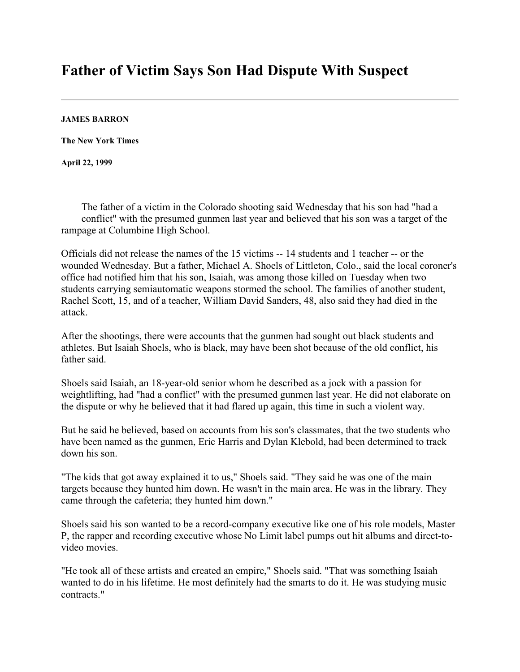## **Father of Victim Says Son Had Dispute With Suspect**

## **JAMES BARRON**

**The New York Times**

**April 22, 1999**

The father of a victim in the Colorado shooting said Wednesday that his son had "had a conflict" with the presumed gunmen last year and believed that his son was a target of the rampage at Columbine High School.

Officials did not release the names of the 15 victims -- 14 students and 1 teacher -- or the wounded Wednesday. But a father, Michael A. Shoels of Littleton, Colo., said the local coroner's office had notified him that his son, Isaiah, was among those killed on Tuesday when two students carrying semiautomatic weapons stormed the school. The families of another student, Rachel Scott, 15, and of a teacher, William David Sanders, 48, also said they had died in the attack.

After the shootings, there were accounts that the gunmen had sought out black students and athletes. But Isaiah Shoels, who is black, may have been shot because of the old conflict, his father said.

Shoels said Isaiah, an 18-year-old senior whom he described as a jock with a passion for weightlifting, had "had a conflict" with the presumed gunmen last year. He did not elaborate on the dispute or why he believed that it had flared up again, this time in such a violent way.

But he said he believed, based on accounts from his son's classmates, that the two students who have been named as the gunmen, Eric Harris and Dylan Klebold, had been determined to track down his son.

"The kids that got away explained it to us," Shoels said. "They said he was one of the main targets because they hunted him down. He wasn't in the main area. He was in the library. They came through the cafeteria; they hunted him down."

Shoels said his son wanted to be a record-company executive like one of his role models, Master P, the rapper and recording executive whose No Limit label pumps out hit albums and direct-tovideo movies.

"He took all of these artists and created an empire," Shoels said. "That was something Isaiah wanted to do in his lifetime. He most definitely had the smarts to do it. He was studying music contracts."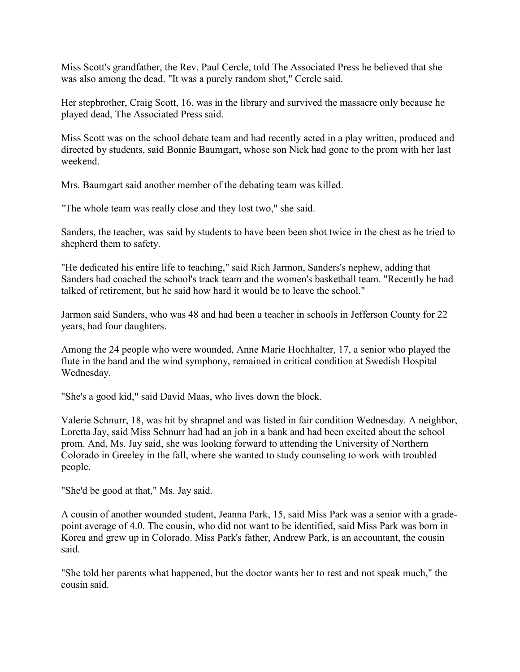Miss Scott's grandfather, the Rev. Paul Cercle, told The Associated Press he believed that she was also among the dead. "It was a purely random shot," Cercle said.

Her stepbrother, Craig Scott, 16, was in the library and survived the massacre only because he played dead, The Associated Press said.

Miss Scott was on the school debate team and had recently acted in a play written, produced and directed by students, said Bonnie Baumgart, whose son Nick had gone to the prom with her last weekend.

Mrs. Baumgart said another member of the debating team was killed.

"The whole team was really close and they lost two," she said.

Sanders, the teacher, was said by students to have been been shot twice in the chest as he tried to shepherd them to safety.

"He dedicated his entire life to teaching," said Rich Jarmon, Sanders's nephew, adding that Sanders had coached the school's track team and the women's basketball team. "Recently he had talked of retirement, but he said how hard it would be to leave the school."

Jarmon said Sanders, who was 48 and had been a teacher in schools in Jefferson County for 22 years, had four daughters.

Among the 24 people who were wounded, Anne Marie Hochhalter, 17, a senior who played the flute in the band and the wind symphony, remained in critical condition at Swedish Hospital Wednesday.

"She's a good kid," said David Maas, who lives down the block.

Valerie Schnurr, 18, was hit by shrapnel and was listed in fair condition Wednesday. A neighbor, Loretta Jay, said Miss Schnurr had had an job in a bank and had been excited about the school prom. And, Ms. Jay said, she was looking forward to attending the University of Northern Colorado in Greeley in the fall, where she wanted to study counseling to work with troubled people.

"She'd be good at that," Ms. Jay said.

A cousin of another wounded student, Jeanna Park, 15, said Miss Park was a senior with a gradepoint average of 4.0. The cousin, who did not want to be identified, said Miss Park was born in Korea and grew up in Colorado. Miss Park's father, Andrew Park, is an accountant, the cousin said.

"She told her parents what happened, but the doctor wants her to rest and not speak much," the cousin said.